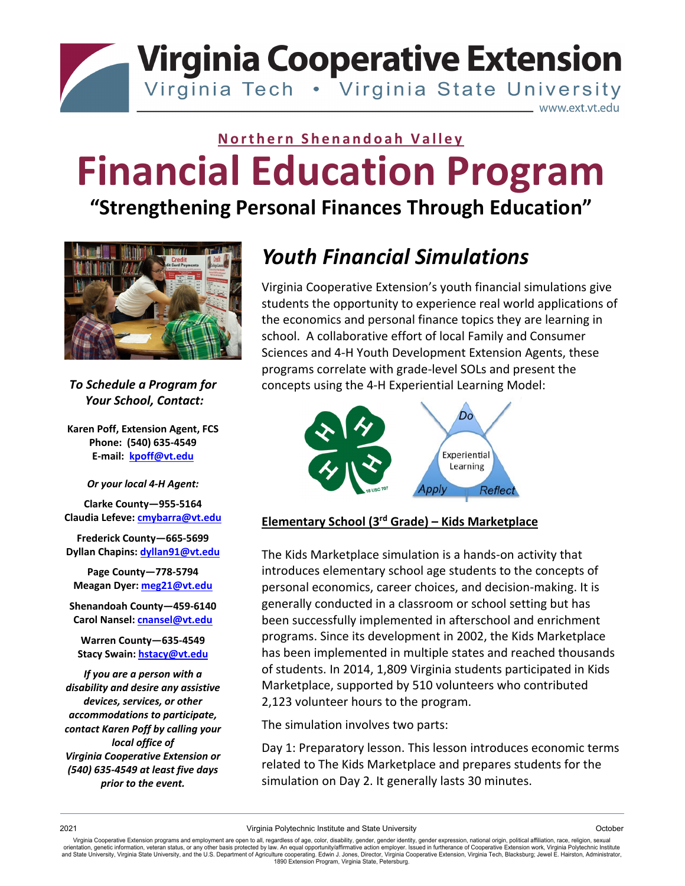**Virginia Cooperative Extension** 

Virginia Tech . Virginia State University

www.ext.vt.edu

# **Northern Shenandoah Valley Financial Education Program**

### **"Strengthening Personal Finances Through Education"**



*To Schedule a Program for Your School, Contact:*

**Karen Poff, Extension Agent, FCS Phone: (540) 635‐4549 E‐mail: kpoff@vt.edu**

*Or your local 4‐H Agent:*

**Clarke County—955‐5164 Claudia Lefeve: cmybarra@vt.edu**

**Frederick County—665‐5699 Dyllan Chapins: dyllan91@vt.edu**

**Page County—778‐5794 Meagan Dyer: meg21@vt.edu**

**Shenandoah County—459‐6140 Carol Nansel: cnansel@vt.edu**

**Warren County—635‐4549 Stacy Swain: hstacy@vt.edu**

*If you are a person with a disability and desire any assistive devices, services, or other accommodations to participate, contact Karen Poff by calling your local office of Virginia Cooperative Extension or (540) 635‐4549 at least five days prior to the event.*

## *Youth Financial Simulations*

Virginia Cooperative Extension's youth financial simulations give students the opportunity to experience real world applications of the economics and personal finance topics they are learning in school. A collaborative effort of local Family and Consumer Sciences and 4‐H Youth Development Extension Agents, these programs correlate with grade‐level SOLs and present the concepts using the 4‐H Experiential Learning Model:



#### **Elementary School (3rd Grade) – Kids Marketplace**

The Kids Marketplace simulation is a hands‐on activity that introduces elementary school age students to the concepts of personal economics, career choices, and decision‐making. It is generally conducted in a classroom or school setting but has been successfully implemented in afterschool and enrichment programs. Since its development in 2002, the Kids Marketplace has been implemented in multiple states and reached thousands of students. In 2014, 1,809 Virginia students participated in Kids Marketplace, supported by 510 volunteers who contributed 2,123 volunteer hours to the program.

The simulation involves two parts:

Day 1: Preparatory lesson. This lesson introduces economic terms related to The Kids Marketplace and prepares students for the simulation on Day 2. It generally lasts 30 minutes.

Virginia Cooperative Extension programs and employment are open to all, regardless of age, color, disability, gender, gender identity, gender expression, national origin, political affiliation, race, religion, sexual orientation, genetic information, veteran status, or any other basis protected by law. An equal opportunity/affirmative action employer. Issued in furtherance of Cooperative Extension work, Virginia Polytechnic Institute<br>a 1890 Extension Program, Virginia State, Petersburg.